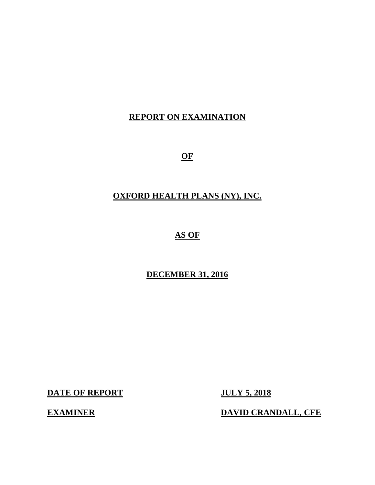## **REPORT ON EXAMINATION**

**OF** 

## **OXFORD HEALTH PLANS (NY), INC.**

## **AS OF**

## **DECEMBER 31, 2016**

**DATE OF REPORT JULY 5, 2018** 

**EXAMINER** DAVID CRANDALL, CFE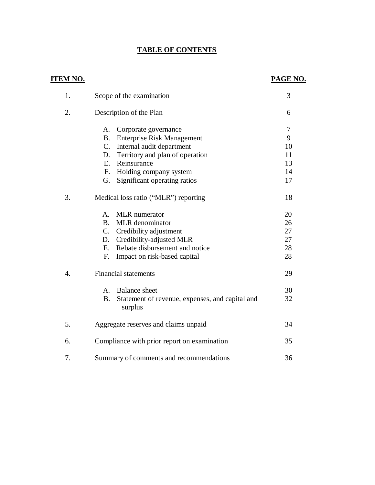## **TABLE OF CONTENTS**

| <u>ITEM NO.</u> |                                                                         | PAGE NO.       |
|-----------------|-------------------------------------------------------------------------|----------------|
| 1.              | Scope of the examination                                                | 3              |
| 2.              | Description of the Plan                                                 | 6              |
|                 | Corporate governance<br>A.                                              | $\overline{7}$ |
|                 | <b>B.</b> Enterprise Risk Management                                    | 9              |
|                 | C. Internal audit department                                            | 10             |
|                 | D. Territory and plan of operation                                      | 11             |
|                 | E. Reinsurance                                                          | 13             |
|                 | $F_{\cdot}$<br>Holding company system                                   | 14             |
|                 | G.<br>Significant operating ratios                                      | 17             |
| 3.              | Medical loss ratio ("MLR") reporting                                    | 18             |
|                 | <b>MLR</b> numerator<br>A.                                              | 20             |
|                 | B <sub>1</sub><br><b>MLR</b> denominator                                | 26             |
|                 | C. Credibility adjustment                                               | 27             |
|                 | D. Credibility-adjusted MLR                                             | 27             |
|                 | Rebate disbursement and notice<br>E.                                    | 28             |
|                 | F.<br>Impact on risk-based capital                                      | 28             |
| 4.              | <b>Financial statements</b>                                             | 29             |
|                 | <b>Balance</b> sheet<br>A.                                              | 30             |
|                 | Statement of revenue, expenses, and capital and<br><b>B.</b><br>surplus | 32             |
| 5.              | Aggregate reserves and claims unpaid                                    | 34             |
| 6.              | Compliance with prior report on examination                             | 35             |
| 7.              | Summary of comments and recommendations                                 | 36             |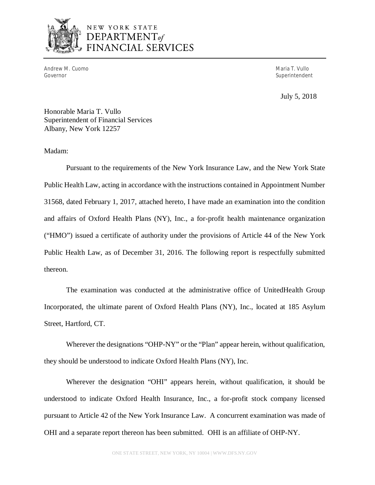

## NEW YORK STATE  $$ FINANCIAL SERVICES

 Andrew M. Cuomo Maria T. Vullo Governor

Superintendent

July 5, 2018

 Honorable Maria T. Vullo Superintendent of Financial Services Albany, New York 12257

## Madam:

 Pursuant to the requirements of the New York Insurance Law, and the New York State Public Health Law, acting in accordance with the instructions contained in Appointment Number 31568, dated February 1, 2017, attached hereto, I have made an examination into the condition and affairs of Oxford Health Plans (NY), Inc., a for-profit health maintenance organization ("HMO") issued a certificate of authority under the provisions of Article 44 of the New York Public Health Law, as of December 31, 2016. The following report is respectfully submitted thereon.

 thereon. The examination was conducted at the administrative office of UnitedHealth Group Incorporated, the ultimate parent of Oxford Health Plans (NY), Inc., located at 185 Asylum Street, Hartford, CT.

 Wherever the designations "OHP-NY" or the "Plan" appear herein, without qualification, they should be understood to indicate Oxford Health Plans (NY), Inc.

 Wherever the designation "OHI" appears herein, without qualification, it should be understood to indicate Oxford Health Insurance, Inc., a for-profit stock company licensed pursuant to Article 42 of the New York Insurance Law. A concurrent examination was made of OHI and a separate report thereon has been submitted. OHI is an affiliate of OHP-NY.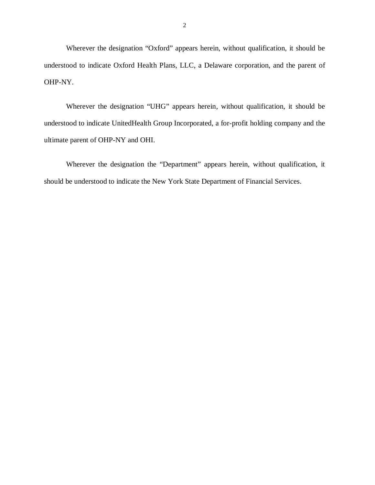Wherever the designation "Oxford" appears herein, without qualification, it should be understood to indicate Oxford Health Plans, LLC, a Delaware corporation, and the parent of OHP-NY.

 Wherever the designation "UHG" appears herein, without qualification, it should be understood to indicate UnitedHealth Group Incorporated, a for-profit holding company and the ultimate parent of OHP-NY and OHI.

 Wherever the designation the "Department" appears herein, without qualification, it should be understood to indicate the New York State Department of Financial Services.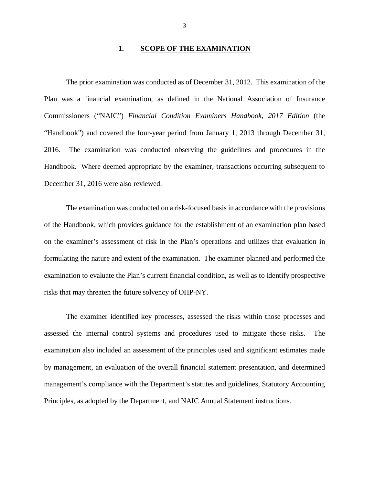## **1. SCOPE OF THE EXAMINATION**

 Plan was a financial examination, as defined in the National Association of Insurance Commissioners ("NAIC") *Financial Condition Examiners Handbook*, *2017 Edition* (the "Handbook") and covered the four-year period from January 1, 2013 through December 31, 2016. Handbook. Where deemed appropriate by the examiner, transactions occurring subsequent to December 31, 2016 were also reviewed. The prior examination was conducted as of December 31, 2012. This examination of the The examination was conducted observing the guidelines and procedures in the

 The examination was conducted on a risk-focused basis in accordance with the provisions of the Handbook, which provides guidance for the establishment of an examination plan based on the examiner's assessment of risk in the Plan's operations and utilizes that evaluation in formulating the nature and extent of the examination. The examiner planned and performed the examination to evaluate the Plan's current financial condition, as well as to identify prospective risks that may threaten the future solvency of OHP-NY.

 The examiner identified key processes, assessed the risks within those processes and assessed the internal control systems and procedures used to mitigate those risks. The examination also included an assessment of the principles used and significant estimates made by management, an evaluation of the overall financial statement presentation, and determined management's compliance with the Department's statutes and guidelines, Statutory Accounting Principles, as adopted by the Department, and NAIC Annual Statement instructions.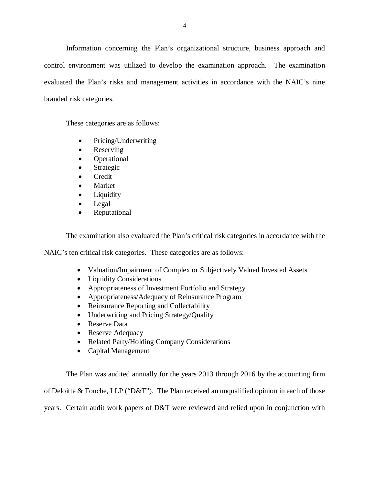Information concerning the Plan's organizational structure, business approach and control environment was utilized to develop the examination approach. The examination evaluated the Plan's risks and management activities in accordance with the NAIC's nine branded risk categories.

These categories are as follows:

- Pricing/Underwriting
- Reserving
- Operational
- Strategic
- Credit
- Market
- **Liquidity**
- Legal
- Reputational

The examination also evaluated the Plan's critical risk categories in accordance with the

NAIC's ten critical risk categories. These categories are as follows:

- Valuation/Impairment of Complex or Subjectively Valued Invested Assets
- Liquidity Considerations
- Appropriateness of Investment Portfolio and Strategy
- Appropriateness/Adequacy of Reinsurance Program
- Reinsurance Reporting and Collectability
- Underwriting and Pricing Strategy/Quality
- Reserve Data
- Reserve Adequacy
- Related Party/Holding Company Considerations
- Capital Management

 The Plan was audited annually for the years 2013 through 2016 by the accounting firm of Deloitte & Touche, LLP ("D&T"). The Plan received an unqualified opinion in each of those years. Certain audit work papers of D&T were reviewed and relied upon in conjunction with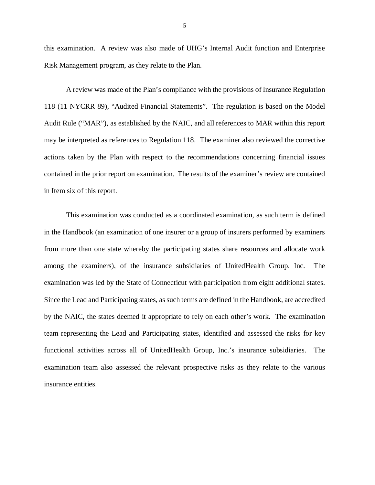this examination. A review was also made of UHG's Internal Audit function and Enterprise Risk Management program, as they relate to the Plan.

 118 (11 NYCRR 89), "Audited Financial Statements". The regulation is based on the Model Audit Rule ("MAR"), as established by the NAIC, and all references to MAR within this report may be interpreted as references to Regulation 118. The examiner also reviewed the corrective actions taken by the Plan with respect to the recommendations concerning financial issues contained in the prior report on examination. The results of the examiner's review are contained in Item six of this report. A review was made of the Plan's compliance with the provisions of Insurance Regulation

 This examination was conducted as a coordinated examination, as such term is defined in the Handbook (an examination of one insurer or a group of insurers performed by examiners from more than one state whereby the participating states share resources and allocate work among the examiners), of the insurance subsidiaries of UnitedHealth Group, Inc. The examination was led by the State of Connecticut with participation from eight additional states. Since the Lead and Participating states, as such terms are defined in the Handbook, are accredited by the NAIC, the states deemed it appropriate to rely on each other's work. The examination team representing the Lead and Participating states, identified and assessed the risks for key functional activities across all of UnitedHealth Group, Inc.'s insurance subsidiaries. The examination team also assessed the relevant prospective risks as they relate to the various insurance entities.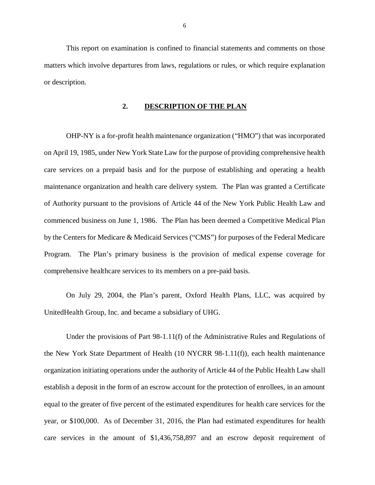matters which involve departures from laws, regulations or rules, or which require explanation or description. This report on examination is confined to financial statements and comments on those

## **2. DESCRIPTION OF THE PLAN**

 OHP-NY is a for-profit health maintenance organization ("HMO") that was incorporated on April 19, 1985, under New York State Law for the purpose of providing comprehensive health care services on a prepaid basis and for the purpose of establishing and operating a health maintenance organization and health care delivery system. The Plan was granted a Certificate of Authority pursuant to the provisions of Article 44 of the New York Public Health Law and commenced business on June 1, 1986. The Plan has been deemed a Competitive Medical Plan by the Centers for Medicare & Medicaid Services ("CMS") for purposes of the Federal Medicare Program. The Plan's primary business is the provision of medical expense coverage for comprehensive healthcare services to its members on a pre-paid basis.

 On July 29, 2004, the Plan's parent, Oxford Health Plans, LLC, was acquired by UnitedHealth Group, Inc. and became a subsidiary of UHG.

 Under the provisions of Part 98-1.11(f) of the Administrative Rules and Regulations of the New York State Department of Health (10 NYCRR 98-1.11(f)), each health maintenance organization initiating operations under the authority of Article 44 of the Public Health Law shall establish a deposit in the form of an escrow account for the protection of enrollees, in an amount equal to the greater of five percent of the estimated expenditures for health care services for the year, or \$100,000. As of December 31, 2016, the Plan had estimated expenditures for health care services in the amount of \$1,436,758,897 and an escrow deposit requirement of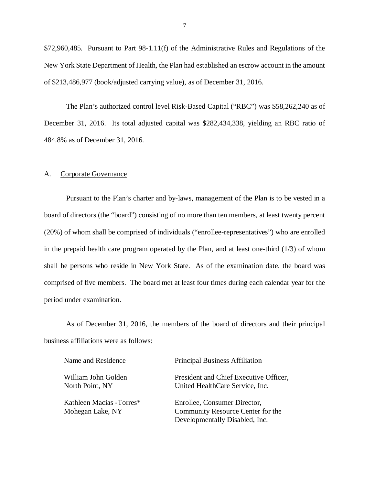<span id="page-8-0"></span> \$72,960,485. Pursuant to Part 98-1.11(f) of the Administrative Rules and Regulations of the New York State Department of Health, the Plan had established an escrow account in the amount of \$213,486,977 (book/adjusted carrying value), as of December 31, 2016.

 The Plan's authorized control level Risk-Based Capital ("RBC") was \$58,262,240 as of December 31, 2016. Its total adjusted capital was \$282,434,338, yielding an RBC ratio of 484.8% as of December 31, 2016.

#### A. Corporate Governance

 Pursuant to the Plan's charter and by-laws, management of the Plan is to be vested in a board of directors (the "board") consisting of no more than ten members, at least twenty percent (20%) of whom shall be comprised of individuals ("enrollee-representatives") who are enrolled in the prepaid health care program operated by the Plan, and at least one-third (1/3) of whom shall be persons who reside in New York State. As of the examination date, the board was comprised of five members. The board met at least four times during each calendar year for the period under examination.

 business affiliations were as follows: As of December 31, 2016, the members of the board of directors and their principal

| Name and Residence                           | <b>Principal Business Affiliation</b>                                                               |
|----------------------------------------------|-----------------------------------------------------------------------------------------------------|
| William John Golden<br>North Point, NY       | President and Chief Executive Officer,<br>United HealthCare Service, Inc.                           |
| Kathleen Macias -Torres*<br>Mohegan Lake, NY | Enrollee, Consumer Director,<br>Community Resource Center for the<br>Developmentally Disabled, Inc. |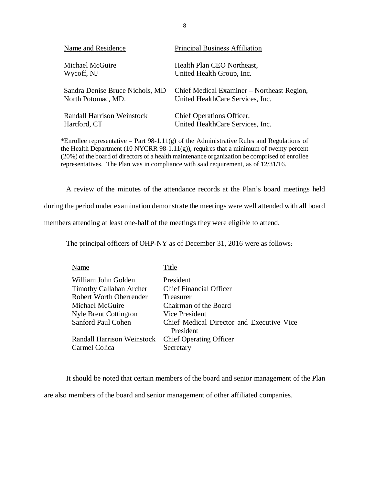| Name and Residence                | <b>Principal Business Affiliation</b>      |
|-----------------------------------|--------------------------------------------|
| Michael McGuire                   | Health Plan CEO Northeast,                 |
| Wycoff, NJ                        | United Health Group, Inc.                  |
| Sandra Denise Bruce Nichols, MD   | Chief Medical Examiner – Northeast Region, |
| North Potomac, MD.                | United HealthCare Services, Inc.           |
| <b>Randall Harrison Weinstock</b> | Chief Operations Officer,                  |
| Hartford, CT                      | United HealthCare Services, Inc.           |

\*Enrollee representative – Part 98-1.11 $(g)$  of the Administrative Rules and Regulations of the Health Department (10 NYCRR 98-1.11(g)), requires that a minimum of twenty percent (20%) of the board of directors of a health maintenance organization be comprised of enrollee representatives. The Plan was in compliance with said requirement, as of 12/31/16.

A review of the minutes of the attendance records at the Plan's board meetings held

during the period under examination demonstrate the meetings were well attended with all board

members attending at least one-half of the meetings they were eligible to attend.

The principal officers of OHP-NY as of December 31, 2016 were as follows:

| Name                              | Title                                     |
|-----------------------------------|-------------------------------------------|
| William John Golden               | President                                 |
| <b>Timothy Callahan Archer</b>    | <b>Chief Financial Officer</b>            |
| <b>Robert Worth Oberrender</b>    | Treasurer                                 |
| Michael McGuire                   | Chairman of the Board                     |
| <b>Nyle Brent Cottington</b>      | Vice President                            |
| Sanford Paul Cohen                | Chief Medical Director and Executive Vice |
|                                   | President                                 |
| <b>Randall Harrison Weinstock</b> | <b>Chief Operating Officer</b>            |
| Carmel Colica                     | Secretary                                 |

 are also members of the board and senior management of other affiliated companies. It should be noted that certain members of the board and senior management of the Plan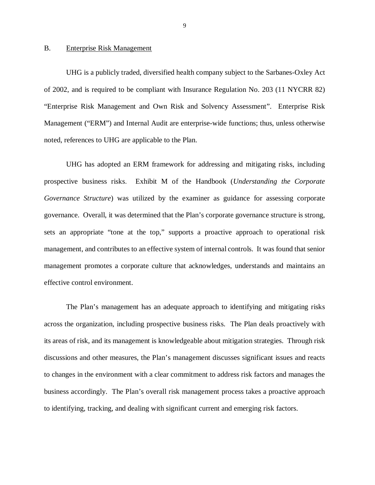## <span id="page-10-0"></span>B. Enterprise Risk Management

 UHG is a publicly traded, diversified health company subject to the Sarbanes-Oxley Act of 2002, and is required to be compliant with Insurance Regulation No. 203 (11 NYCRR 82) "Enterprise Risk Management and Own Risk and Solvency Assessment". Enterprise Risk Management ("ERM") and Internal Audit are enterprise-wide functions; thus, unless otherwise noted, references to UHG are applicable to the Plan.

 UHG has adopted an ERM framework for addressing and mitigating risks, including prospective business risks. Exhibit M of the Handbook (*Understanding the Corporate Governance Structure*) was utilized by the examiner as guidance for assessing corporate governance. Overall, it was determined that the Plan's corporate governance structure is strong, sets an appropriate "tone at the top," supports a proactive approach to operational risk management, and contributes to an effective system of internal controls. It was found that senior management promotes a corporate culture that acknowledges, understands and maintains an effective control environment.

 across the organization, including prospective business risks. The Plan deals proactively with its areas of risk, and its management is knowledgeable about mitigation strategies. Through risk discussions and other measures, the Plan's management discusses significant issues and reacts to changes in the environment with a clear commitment to address risk factors and manages the business accordingly. The Plan's overall risk management process takes a proactive approach to identifying, tracking, and dealing with significant current and emerging risk factors. The Plan's management has an adequate approach to identifying and mitigating risks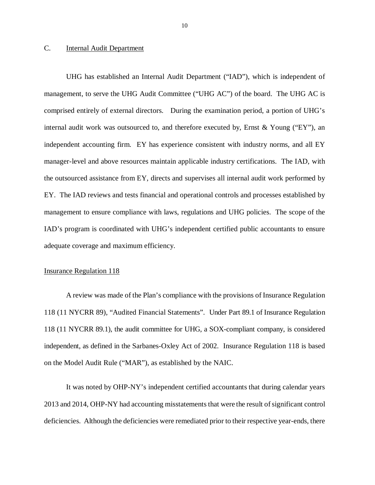#### <span id="page-11-0"></span> $\overline{C}$ . Internal Audit Department

 UHG has established an Internal Audit Department ("IAD"), which is independent of management, to serve the UHG Audit Committee ("UHG AC") of the board. The UHG AC is comprised entirely of external directors. During the examination period, a portion of UHG's internal audit work was outsourced to, and therefore executed by, Ernst & Young ("EY"), an independent accounting firm. EY has experience consistent with industry norms, and all EY manager-level and above resources maintain applicable industry certifications. The IAD, with the outsourced assistance from EY, directs and supervises all internal audit work performed by EY. The IAD reviews and tests financial and operational controls and processes established by management to ensure compliance with laws, regulations and UHG policies. The scope of the IAD's program is coordinated with UHG's independent certified public accountants to ensure adequate coverage and maximum efficiency.

## **Insurance Regulation 118**

 A review was made of the Plan's compliance with the provisions of Insurance Regulation 118 (11 NYCRR 89), "Audited Financial Statements". Under Part 89.1 of Insurance Regulation 118 (11 NYCRR 89.1), the audit committee for UHG, a SOX-compliant company, is considered independent, as defined in the Sarbanes-Oxley Act of 2002. Insurance Regulation 118 is based on the Model Audit Rule ("MAR"), as established by the NAIC.

 It was noted by OHP-NY's independent certified accountants that during calendar years 2013 and 2014, OHP-NY had accounting misstatements that were the result of significant control deficiencies. Although the deficiencies were remediated prior to their respective year-ends, there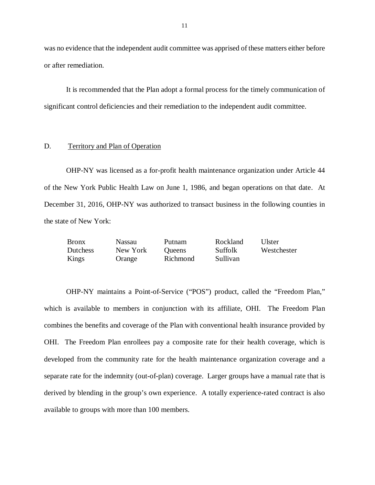was no evidence that the independent audit committee was apprised of these matters either before or after remediation.

 It is recommended that the Plan adopt a formal process for the timely communication of significant control deficiencies and their remediation to the independent audit committee.

#### D. Territory and Plan of Operation

 OHP-NY was licensed as a for-profit health maintenance organization under Article 44 of the New York Public Health Law on June 1, 1986, and began operations on that date. At December 31, 2016, OHP-NY was authorized to transact business in the following counties in the state of New York:

| <b>Bronx</b>    | <b>Nassau</b> | Putnam        | Rockland | Ulster      |
|-----------------|---------------|---------------|----------|-------------|
| <b>Dutchess</b> | New York      | <b>Oueens</b> | Suffolk  | Westchester |
| Kings           | Orange        | Richmond      | Sullivan |             |

Kings Orange Richmond Sullivan<br>
OHP-NY maintains a Point-of-Service ("POS") product, called the "Freedom Plan," which is available to members in conjunction with its affiliate, OHI. The Freedom Plan combines the benefits and coverage of the Plan with conventional health insurance provided by OHI. The Freedom Plan enrollees pay a composite rate for their health coverage, which is developed from the community rate for the health maintenance organization coverage and a separate rate for the indemnity (out-of-plan) coverage. Larger groups have a manual rate that is derived by blending in the group's own experience. A totally experience-rated contract is also available to groups with more than 100 members.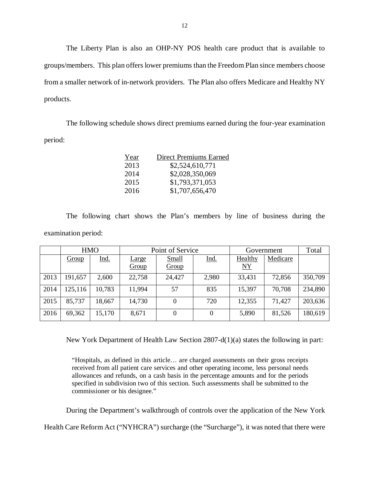The Liberty Plan is also an OHP-NY POS health care product that is available to groups/members. This plan offers lower premiums than the Freedom Plan since members choose from a smaller network of in-network providers. The Plan also offers Medicare and Healthy NY products.

products.<br>The following schedule shows direct premiums earned during the four-year examination period:

| Year | Direct Premiums Earned |
|------|------------------------|
| 2013 | \$2,524,610,771        |
| 2014 | \$2,028,350,069        |
| 2015 | \$1,793,371,053        |
| 2016 | \$1,707,656,470        |

 The following chart shows the Plan's members by line of business during the examination period:

|      | <b>HMO</b> |             | Point of Service      |                |          | Government      |          | Total   |
|------|------------|-------------|-----------------------|----------------|----------|-----------------|----------|---------|
|      | Group      | <u>Ind.</u> | <b>Large</b><br>Group | Small<br>Group | Ind.     | Healthy<br>$NY$ | Medicare |         |
| 2013 | 191,657    | 2,600       | 22,758                | 24,427         | 2,980    | 33,431          | 72,856   | 350,709 |
| 2014 | 125,116    | 10,783      | 11,994                | 57             | 835      | 15,397          | 70,708   | 234,890 |
| 2015 | 85,737     | 18,667      | 14,730                | $\Omega$       | 720      | 12,355          | 71,427   | 203,636 |
| 2016 | 69,362     | 15,170      | 8,671                 | $\Omega$       | $\theta$ | 5,890           | 81,526   | 180,619 |

New York Department of Health Law Section 2807-d(1)(a) states the following in part:

 "Hospitals, as defined in this article… are charged assessments on their gross receipts received from all patient care services and other operating income, less personal needs allowances and refunds, on a cash basis in the percentage amounts and for the periods specified in subdivision two of this section. Such assessments shall be submitted to the commissioner or his designee."

During the Department's walkthrough of controls over the application of the New York

Health Care Reform Act ("NYHCRA") surcharge (the "Surcharge"), it was noted that there were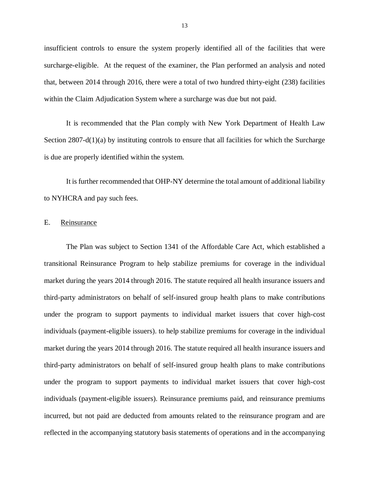<span id="page-14-0"></span> insufficient controls to ensure the system properly identified all of the facilities that were surcharge-eligible. At the request of the examiner, the Plan performed an analysis and noted that, between 2014 through 2016, there were a total of two hundred thirty-eight (238) facilities within the Claim Adjudication System where a surcharge was due but not paid.

 It is recommended that the Plan comply with New York Department of Health Law Section 2807-d(1)(a) by instituting controls to ensure that all facilities for which the Surcharge is due are properly identified within the system.

 It is further recommended that OHP-NY determine the total amount of additional liability to NYHCRA and pay such fees.

## E. Reinsurance

 The Plan was subject to Section 1341 of the Affordable Care Act, which established a transitional Reinsurance Program to help stabilize premiums for coverage in the individual market during the years 2014 through 2016. The statute required all health insurance issuers and third-party administrators on behalf of self-insured group health plans to make contributions under the program to support payments to individual market issuers that cover high-cost individuals (payment-eligible issuers). to help stabilize premiums for coverage in the individual market during the years 2014 through 2016. The statute required all health insurance issuers and third-party administrators on behalf of self-insured group health plans to make contributions under the program to support payments to individual market issuers that cover high-cost individuals (payment-eligible issuers). Reinsurance premiums paid, and reinsurance premiums incurred, but not paid are deducted from amounts related to the reinsurance program and are reflected in the accompanying statutory basis statements of operations and in the accompanying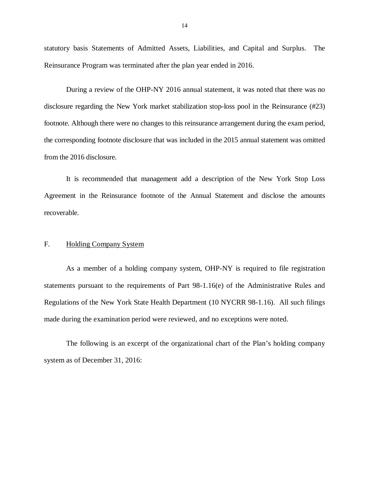<span id="page-15-0"></span> statutory basis Statements of Admitted Assets, Liabilities, and Capital and Surplus. The Reinsurance Program was terminated after the plan year ended in 2016.

 During a review of the OHP-NY 2016 annual statement, it was noted that there was no disclosure regarding the New York market stabilization stop-loss pool in the Reinsurance (#23) footnote. Although there were no changes to this reinsurance arrangement during the exam period, the corresponding footnote disclosure that was included in the 2015 annual statement was omitted from the 2016 disclosure.

 It is recommended that management add a description of the New York Stop Loss Agreement in the Reinsurance footnote of the Annual Statement and disclose the amounts recoverable. recoverable.<br>F. Holding Company System

 statements pursuant to the requirements of Part 98-1.16(e) of the Administrative Rules and Regulations of the New York State Health Department (10 NYCRR 98-1.16). All such filings made during the examination period were reviewed, and no exceptions were noted. As a member of a holding company system, OHP-NY is required to file registration

 system as of December 31, 2016: The following is an excerpt of the organizational chart of the Plan's holding company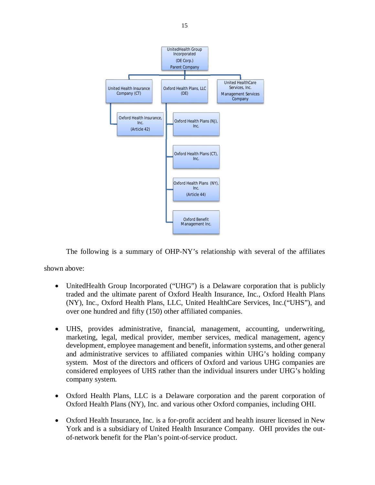

The following is a summary of OHP-NY's relationship with several of the affiliates

shown above:

- UnitedHealth Group Incorporated ("UHG") is a Delaware corporation that is publicly traded and the ultimate parent of Oxford Health Insurance, Inc., Oxford Health Plans (NY), Inc., Oxford Health Plans, LLC, United HealthCare Services, Inc.("UHS"), and over one hundred and fifty (150) other affiliated companies.
- UHS, provides administrative, financial, management, accounting, underwriting, marketing, legal, medical provider, member services, medical management, agency development, employee management and benefit, information systems, and other general and administrative services to affiliated companies within UHG's holding company system. Most of the directors and officers of Oxford and various UHG companies are considered employees of UHS rather than the individual insurers under UHG's holding company system.
- Oxford Health Plans, LLC is a Delaware corporation and the parent corporation of Oxford Health Plans (NY), Inc. and various other Oxford companies, including OHI.
- Oxford Health Insurance, Inc. is a for-profit accident and health insurer licensed in New York and is a subsidiary of United Health Insurance Company. OHI provides the out-of-network benefit for the Plan's point-of-service product.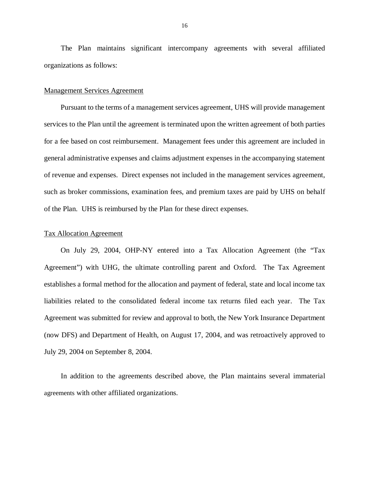The Plan maintains significant intercompany agreements with several affiliated organizations as follows:

## Management Services Agreement

 Pursuant to the terms of a management services agreement, UHS will provide management services to the Plan until the agreement is terminated upon the written agreement of both parties for a fee based on cost reimbursement. Management fees under this agreement are included in general administrative expenses and claims adjustment expenses in the accompanying statement of revenue and expenses. Direct expenses not included in the management services agreement, such as broker commissions, examination fees, and premium taxes are paid by UHS on behalf of the Plan. UHS is reimbursed by the Plan for these direct expenses.

## Tax Allocation Agreement

 On July 29, 2004, OHP-NY entered into a Tax Allocation Agreement (the "Tax Agreement") with UHG, the ultimate controlling parent and Oxford. The Tax Agreement establishes a formal method for the allocation and payment of federal, state and local income tax liabilities related to the consolidated federal income tax returns filed each year. The Tax Agreement was submitted for review and approval to both, the New York Insurance Department (now DFS) and Department of Health, on August 17, 2004, and was retroactively approved to July 29, 2004 on September 8, 2004.

 In addition to the agreements described above, the Plan maintains several immaterial agreements with other affiliated organizations.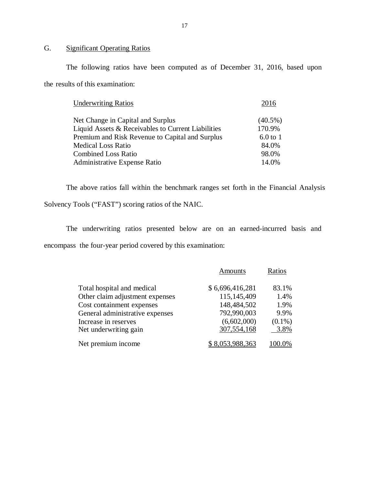#### G. **Significant Operating Ratios**

 The following ratios have been computed as of December 31, 2016, based upon the results of this examination:

| <b>Underwriting Ratios</b>                         | 2016       |
|----------------------------------------------------|------------|
| Net Change in Capital and Surplus                  | $(40.5\%)$ |
| Liquid Assets & Receivables to Current Liabilities | 170.9%     |
| Premium and Risk Revenue to Capital and Surplus    | $6.0$ to 1 |
| <b>Medical Loss Ratio</b>                          | 84.0%      |
| <b>Combined Loss Ratio</b>                         | 98.0%      |
| Administrative Expense Ratio                       | 14.0%      |

 The above ratios fall within the benchmark ranges set forth in the Financial Analysis Solvency Tools ("FAST") scoring ratios of the NAIC.

 The underwriting ratios presented below are on an earned-incurred basis and encompass the four-year period covered by this examination:

|                                 | Amounts         | Ratios    |
|---------------------------------|-----------------|-----------|
| Total hospital and medical      | \$6,696,416,281 | 83.1%     |
| Other claim adjustment expenses | 115,145,409     | 1.4%      |
| Cost containment expenses       | 148,484,502     | 1.9%      |
| General administrative expenses | 792,990,003     | 9.9%      |
| Increase in reserves            | (6,602,000)     | $(0.1\%)$ |
| Net underwriting gain           | 307,554,168     | 3.8%      |
| Net premium income              | \$8,053,988,363 | 100.0%    |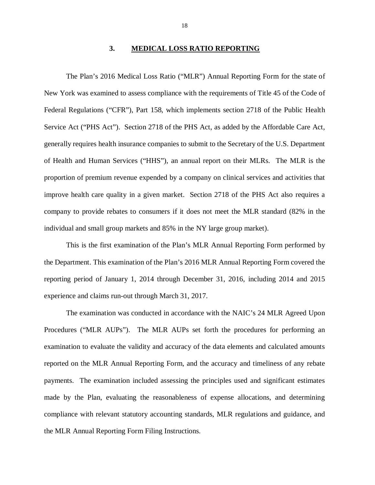## **3. MEDICAL LOSS RATIO REPORTING**

<span id="page-19-0"></span> The Plan's 2016 Medical Loss Ratio ("MLR") Annual Reporting Form for the state of New York was examined to assess compliance with the requirements of Title 45 of the Code of Federal Regulations ("CFR"), Part 158, which implements section 2718 of the Public Health Service Act ("PHS Act"). Section 2718 of the PHS Act, as added by the Affordable Care Act, generally requires health insurance companies to submit to the Secretary of the U.S. Department of Health and Human Services ("HHS"), an annual report on their MLRs. The MLR is the proportion of premium revenue expended by a company on clinical services and activities that improve health care quality in a given market. Section 2718 of the PHS Act also requires a company to provide rebates to consumers if it does not meet the MLR standard (82% in the individual and small group markets and 85% in the NY large group market).

 This is the first examination of the Plan's MLR Annual Reporting Form performed by the Department. This examination of the Plan's 2016 MLR Annual Reporting Form covered the reporting period of January 1, 2014 through December 31, 2016, including 2014 and 2015 experience and claims run-out through March 31, 2017.

 The examination was conducted in accordance with the NAIC's 24 MLR Agreed Upon Procedures ("MLR AUPs"). The MLR AUPs set forth the procedures for performing an examination to evaluate the validity and accuracy of the data elements and calculated amounts reported on the MLR Annual Reporting Form, and the accuracy and timeliness of any rebate payments. The examination included assessing the principles used and significant estimates made by the Plan, evaluating the reasonableness of expense allocations, and determining compliance with relevant statutory accounting standards, MLR regulations and guidance, and the MLR Annual Reporting Form Filing Instructions.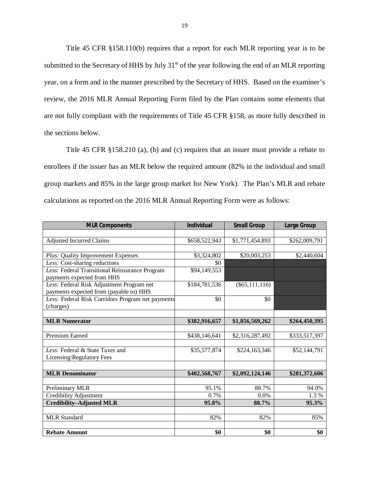Title 45 CFR §158.110(b) requires that a report for each MLR reporting year is to be submitted to the Secretary of HHS by July 31<sup>st</sup> of the year following the end of an MLR reporting year, on a form and in the manner prescribed by the Secretary of HHS. Based on the examiner's review, the 2016 MLR Annual Reporting Form filed by the Plan contains some elements that are not fully compliant with the requirements of Title 45 CFR §158, as more fully described in the sections below.

 Title 45 CFR §158.210 (a), (b) and (c) requires that an issuer must provide a rebate to enrollees if the issuer has an MLR below the required amount (82% in the individual and small group markets and 85% in the large group market for New York). The Plan's MLR and rebate calculations as reported on the 2016 MLR Annual Reporting Form were as follows:

| <b>MLR Components</b>                             | <b>Individual</b> | <b>Small Group</b> | <b>Large Group</b> |
|---------------------------------------------------|-------------------|--------------------|--------------------|
|                                                   |                   |                    |                    |
| <b>Adjusted Incurred Claims</b>                   | \$658,522,943     | \$1,771,454,893    | \$262,009,791      |
|                                                   |                   |                    |                    |
| Plus: Quality Improvement Expenses                | \$3,324,802       | \$20,003,253       | \$2,440,604        |
| Less: Cost-sharing reductions                     | \$0               |                    |                    |
| Less: Federal Transitional Reinsurance Program    | \$94,149,553      |                    |                    |
| payments expected from HHS                        |                   |                    |                    |
| Less: Federal Risk Adjustment Program net         | \$184,781,536     | $(\$65,111,116)$   |                    |
| payments expected from (payable to) HHS           |                   |                    |                    |
| Less: Federal Risk Corridors Program net payments | \$0               | \$0                |                    |
| (charges)                                         |                   |                    |                    |
|                                                   |                   |                    |                    |
| <b>MLR Numerator</b>                              | \$382,916,657     | \$1,856,569,262    | \$264,450,395      |
|                                                   |                   |                    |                    |
| Premium Earned                                    | \$438,146,641     | \$2,316,287,492    | \$333,517,397      |
|                                                   |                   |                    |                    |
| Less: Federal & State Taxes and                   | \$35,577,874      | \$224,163,346      | \$52,144,791       |
| Licensing/Regulatory Fees                         |                   |                    |                    |
|                                                   |                   |                    |                    |
| <b>MLR</b> Denominator                            | \$402,568,767     | \$2,092,124,146    | \$281,372,606      |
|                                                   |                   |                    |                    |
| Preliminary MLR                                   | 95.1%             | 88.7%              | 94.0%              |
| Credibility Adjustment                            | 0.7%              | 0.0%               | 1.3%               |
| <b>Credibility-Adjusted MLR</b>                   | 95.8%             | 88.7%              | 95.3%              |
|                                                   |                   |                    |                    |
| <b>MLR</b> Standard                               | 82%               | 82%                | 85%                |
|                                                   |                   |                    |                    |
| <b>Rebate Amount</b>                              | \$0               | \$0                | \$0                |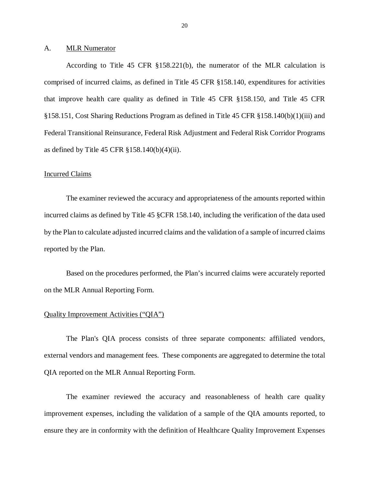#### <span id="page-21-0"></span> $A<sub>1</sub>$ **MLR Numerator**

 According to Title 45 CFR §158.221(b), the numerator of the MLR calculation is comprised of incurred claims, as defined in Title 45 CFR §158.140, expenditures for activities that improve health care quality as defined in Title 45 CFR §158.150, and Title 45 CFR §158.151, Cost Sharing Reductions Program as defined in Title 45 CFR §158.140(b)(1)(iii) and Federal Transitional Reinsurance, Federal Risk Adjustment and Federal Risk Corridor Programs as defined by Title 45 CFR §158.140(b)(4)(ii).

### Incurred Claims

 The examiner reviewed the accuracy and appropriateness of the amounts reported within incurred claims as defined by Title 45 §CFR 158.140, including the verification of the data used by the Plan to calculate adjusted incurred claims and the validation of a sample of incurred claims reported by the Plan.

 Based on the procedures performed, the Plan's incurred claims were accurately reported on the MLR Annual Reporting Form.

## Quality Improvement Activities ("QIA")

 The Plan's QIA process consists of three separate components: affiliated vendors, external vendors and management fees. These components are aggregated to determine the total QIA reported on the MLR Annual Reporting Form.

 The examiner reviewed the accuracy and reasonableness of health care quality improvement expenses, including the validation of a sample of the QIA amounts reported, to ensure they are in conformity with the definition of Healthcare Quality Improvement Expenses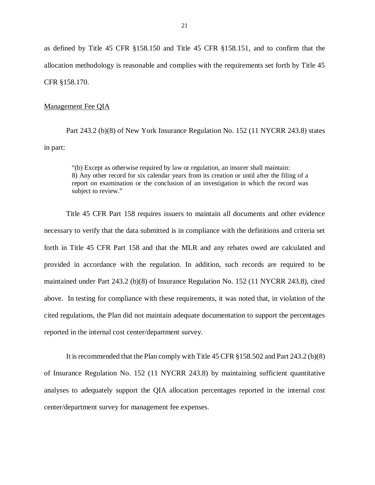as defined by Title 45 CFR §158.150 and Title 45 CFR §158.151, and to confirm that the allocation methodology is reasonable and complies with the requirements set forth by Title 45 CFR §158.170.

## Management Fee QIA

 Part 243.2 (b)(8) of New York Insurance Regulation No. 152 (11 NYCRR 243.8) states in part:

 "(b) Except as otherwise required by law or regulation, an insurer shall maintain: 8) Any other record for six calendar years from its creation or until after the filing of a report on examination or the conclusion of an investigation in which the record was subject to review."

 Title 45 CFR Part 158 requires issuers to maintain all documents and other evidence necessary to verify that the data submitted is in compliance with the definitions and criteria set forth in Title 45 CFR Part 158 and that the MLR and any rebates owed are calculated and provided in accordance with the regulation. In addition, such records are required to be maintained under Part 243.2 (b)(8) of Insurance Regulation No. 152 (11 NYCRR 243.8), cited above. In testing for compliance with these requirements, it was noted that, in violation of the cited regulations, the Plan did not maintain adequate documentation to support the percentages reported in the internal cost center/department survey.

 It is recommended that the Plan comply with Title 45 CFR §158.502 and Part 243.2 (b)(8) of Insurance Regulation No. 152 (11 NYCRR 243.8) by maintaining sufficient quantitative analyses to adequately support the QIA allocation percentages reported in the internal cost center/department survey for management fee expenses.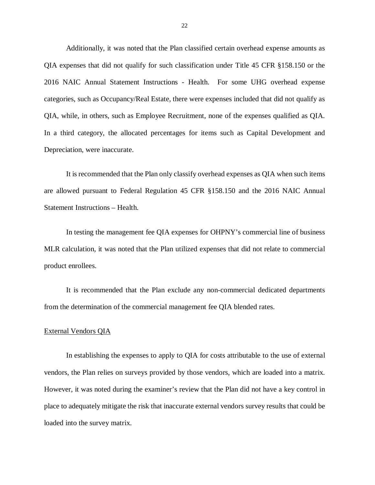Additionally, it was noted that the Plan classified certain overhead expense amounts as QIA expenses that did not qualify for such classification under Title 45 CFR §158.150 or the 2016 NAIC Annual Statement Instructions - Health. For some UHG overhead expense categories, such as Occupancy/Real Estate, there were expenses included that did not qualify as QIA, while, in others, such as Employee Recruitment, none of the expenses qualified as QIA. In a third category, the allocated percentages for items such as Capital Development and Depreciation, were inaccurate.

 It is recommended that the Plan only classify overhead expenses as QIA when such items are allowed pursuant to Federal Regulation 45 CFR §158.150 and the 2016 NAIC Annual Statement Instructions – Health.

 In testing the management fee QIA expenses for OHPNY's commercial line of business MLR calculation, it was noted that the Plan utilized expenses that did not relate to commercial product enrollees.

 It is recommended that the Plan exclude any non-commercial dedicated departments from the determination of the commercial management fee QIA blended rates.

## External Vendors QIA

 In establishing the expenses to apply to QIA for costs attributable to the use of external vendors, the Plan relies on surveys provided by those vendors, which are loaded into a matrix. However, it was noted during the examiner's review that the Plan did not have a key control in place to adequately mitigate the risk that inaccurate external vendors survey results that could be loaded into the survey matrix.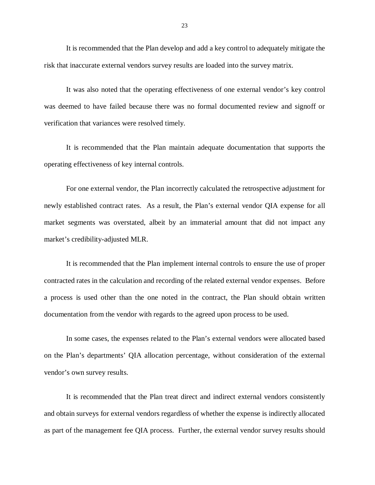It is recommended that the Plan develop and add a key control to adequately mitigate the risk that inaccurate external vendors survey results are loaded into the survey matrix.

 It was also noted that the operating effectiveness of one external vendor's key control was deemed to have failed because there was no formal documented review and signoff or verification that variances were resolved timely.

 It is recommended that the Plan maintain adequate documentation that supports the operating effectiveness of key internal controls.

 For one external vendor, the Plan incorrectly calculated the retrospective adjustment for newly established contract rates. As a result, the Plan's external vendor QIA expense for all market segments was overstated, albeit by an immaterial amount that did not impact any market's credibility-adjusted MLR.

 It is recommended that the Plan implement internal controls to ensure the use of proper contracted rates in the calculation and recording of the related external vendor expenses. Before a process is used other than the one noted in the contract, the Plan should obtain written documentation from the vendor with regards to the agreed upon process to be used.

 In some cases, the expenses related to the Plan's external vendors were allocated based on the Plan's departments' QIA allocation percentage, without consideration of the external vendor's own survey results.

 It is recommended that the Plan treat direct and indirect external vendors consistently and obtain surveys for external vendors regardless of whether the expense is indirectly allocated as part of the management fee QIA process. Further, the external vendor survey results should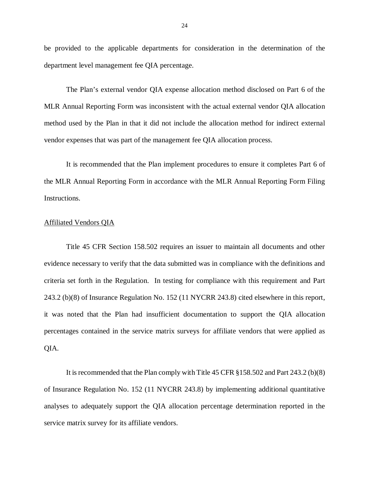be provided to the applicable departments for consideration in the determination of the department level management fee QIA percentage.

 The Plan's external vendor QIA expense allocation method disclosed on Part 6 of the MLR Annual Reporting Form was inconsistent with the actual external vendor QIA allocation method used by the Plan in that it did not include the allocation method for indirect external vendor expenses that was part of the management fee QIA allocation process.

 It is recommended that the Plan implement procedures to ensure it completes Part 6 of the MLR Annual Reporting Form in accordance with the MLR Annual Reporting Form Filing Instructions.

## Affiliated Vendors QIA

 Title 45 CFR Section 158.502 requires an issuer to maintain all documents and other evidence necessary to verify that the data submitted was in compliance with the definitions and criteria set forth in the Regulation. In testing for compliance with this requirement and Part 243.2 (b)(8) of Insurance Regulation No. 152 (11 NYCRR 243.8) cited elsewhere in this report, it was noted that the Plan had insufficient documentation to support the QIA allocation percentages contained in the service matrix surveys for affiliate vendors that were applied as QIA.

 It is recommended that the Plan comply with Title 45 CFR §158.502 and Part 243.2 (b)(8) of Insurance Regulation No. 152 (11 NYCRR 243.8) by implementing additional quantitative analyses to adequately support the QIA allocation percentage determination reported in the service matrix survey for its affiliate vendors.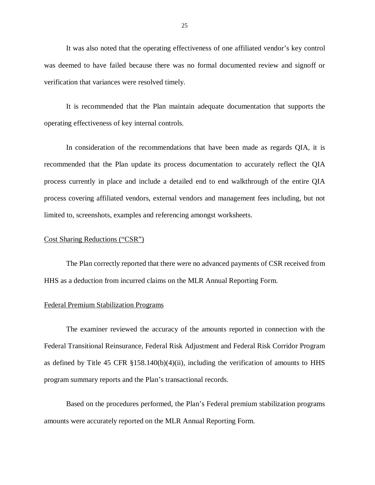It was also noted that the operating effectiveness of one affiliated vendor's key control was deemed to have failed because there was no formal documented review and signoff or verification that variances were resolved timely.

 It is recommended that the Plan maintain adequate documentation that supports the operating effectiveness of key internal controls.

 In consideration of the recommendations that have been made as regards QIA, it is recommended that the Plan update its process documentation to accurately reflect the QIA process currently in place and include a detailed end to end walkthrough of the entire QIA process covering affiliated vendors, external vendors and management fees including, but not limited to, screenshots, examples and referencing amongst worksheets.

## Cost Sharing Reductions ("CSR")

 The Plan correctly reported that there were no advanced payments of CSR received from HHS as a deduction from incurred claims on the MLR Annual Reporting Form.

## Federal Premium Stabilization Programs

 The examiner reviewed the accuracy of the amounts reported in connection with the Federal Transitional Reinsurance, Federal Risk Adjustment and Federal Risk Corridor Program as defined by Title 45 CFR §158.140(b)(4)(ii), including the verification of amounts to HHS program summary reports and the Plan's transactional records.

 Based on the procedures performed, the Plan's Federal premium stabilization programs amounts were accurately reported on the MLR Annual Reporting Form.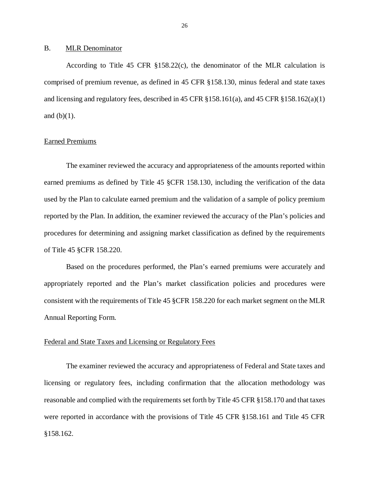#### <span id="page-27-0"></span> $B<sub>1</sub>$ **MLR Denominator**

 According to Title 45 CFR §158.22(c), the denominator of the MLR calculation is comprised of premium revenue, as defined in 45 CFR §158.130, minus federal and state taxes and licensing and regulatory fees, described in 45 CFR §158.161(a), and 45 CFR §158.162(a)(1) and  $(b)(1)$ .

## Earned Premiums

 The examiner reviewed the accuracy and appropriateness of the amounts reported within earned premiums as defined by Title 45 §CFR 158.130, including the verification of the data used by the Plan to calculate earned premium and the validation of a sample of policy premium reported by the Plan. In addition, the examiner reviewed the accuracy of the Plan's policies and procedures for determining and assigning market classification as defined by the requirements of Title 45 §CFR 158.220.

 Based on the procedures performed, the Plan's earned premiums were accurately and appropriately reported and the Plan's market classification policies and procedures were consistent with the requirements of Title 45 §CFR 158.220 for each market segment on the MLR Annual Reporting Form.

## Federal and State Taxes and Licensing or Regulatory Fees

 The examiner reviewed the accuracy and appropriateness of Federal and State taxes and licensing or regulatory fees, including confirmation that the allocation methodology was reasonable and complied with the requirements set forth by Title 45 CFR §158.170 and that taxes were reported in accordance with the provisions of Title 45 CFR §158.161 and Title 45 CFR §158.162.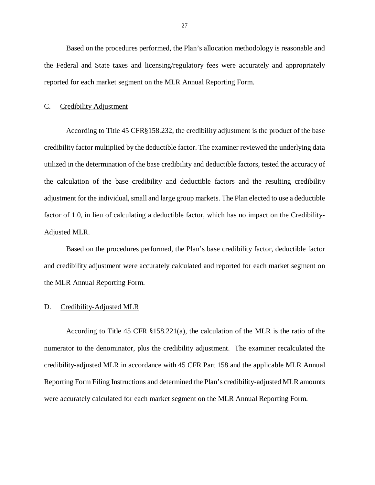<span id="page-28-0"></span> Based on the procedures performed, the Plan's allocation methodology is reasonable and the Federal and State taxes and licensing/regulatory fees were accurately and appropriately reported for each market segment on the MLR Annual Reporting Form.

#### $C_{\cdot}$ Credibility Adjustment

 According to Title 45 CFR§158.232, the credibility adjustment is the product of the base credibility factor multiplied by the deductible factor. The examiner reviewed the underlying data utilized in the determination of the base credibility and deductible factors, tested the accuracy of the calculation of the base credibility and deductible factors and the resulting credibility adjustment for the individual, small and large group markets. The Plan elected to use a deductible factor of 1.0, in lieu of calculating a deductible factor, which has no impact on the Credibility-Adjusted MLR.

 Based on the procedures performed, the Plan's base credibility factor, deductible factor and credibility adjustment were accurately calculated and reported for each market segment on the MLR Annual Reporting Form.

#### D. Credibility-Adjusted MLR

 According to Title 45 CFR §158.221(a), the calculation of the MLR is the ratio of the numerator to the denominator, plus the credibility adjustment. The examiner recalculated the credibility-adjusted MLR in accordance with 45 CFR Part 158 and the applicable MLR Annual Reporting Form Filing Instructions and determined the Plan's credibility-adjusted MLR amounts were accurately calculated for each market segment on the MLR Annual Reporting Form.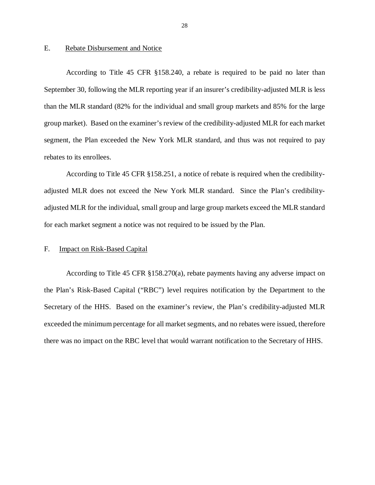#### <span id="page-29-0"></span>E. Rebate Disbursement and Notice

 According to Title 45 CFR §158.240, a rebate is required to be paid no later than September 30, following the MLR reporting year if an insurer's credibility-adjusted MLR is less than the MLR standard (82% for the individual and small group markets and 85% for the large group market). Based on the examiner's review of the credibility-adjusted MLR for each market segment, the Plan exceeded the New York MLR standard, and thus was not required to pay rebates to its enrollees.

 According to Title 45 CFR §158.251, a notice of rebate is required when the credibility- adjusted MLR does not exceed the New York MLR standard. Since the Plan's credibility- adjusted MLR for the individual, small group and large group markets exceed the MLR standard for each market segment a notice was not required to be issued by the Plan.

#### F. **Impact on Risk-Based Capital**

 According to Title 45 CFR §158.270(a), rebate payments having any adverse impact on the Plan's Risk-Based Capital ("RBC") level requires notification by the Department to the Secretary of the HHS. Based on the examiner's review, the Plan's credibility-adjusted MLR exceeded the minimum percentage for all market segments, and no rebates were issued, therefore there was no impact on the RBC level that would warrant notification to the Secretary of HHS.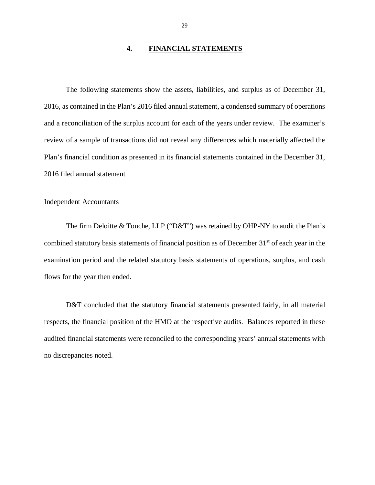## **4. FINANCIAL STATEMENTS**

<span id="page-30-0"></span> The following statements show the assets, liabilities, and surplus as of December 31, 2016, as contained in the Plan's 2016 filed annual statement, a condensed summary of operations and a reconciliation of the surplus account for each of the years under review. The examiner's review of a sample of transactions did not reveal any differences which materially affected the Plan's financial condition as presented in its financial statements contained in the December 31, 2016 filed annual statement

## Independent Accountants

 The firm Deloitte & Touche, LLP ("D&T") was retained by OHP-NY to audit the Plan's combined statutory basis statements of financial position as of December 31<sup>st</sup> of each year in the examination period and the related statutory basis statements of operations, surplus, and cash flows for the year then ended.

D&T concluded that the statutory financial statements presented fairly, in all material respects, the financial position of the HMO at the respective audits. Balances reported in these audited financial statements were reconciled to the corresponding years' annual statements with no discrepancies noted.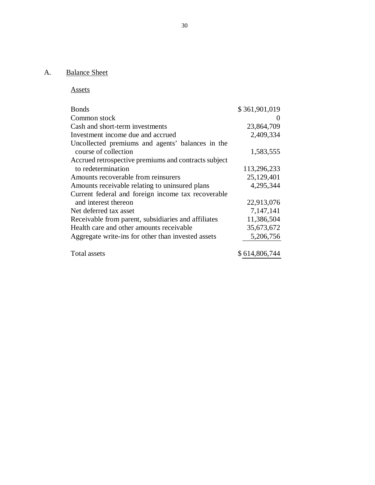### A. **Balance Sheet**

Assets

| <b>Bonds</b>                                         | \$361,901,019 |
|------------------------------------------------------|---------------|
| Common stock                                         |               |
| Cash and short-term investments                      | 23,864,709    |
| Investment income due and accrued                    | 2,409,334     |
| Uncollected premiums and agents' balances in the     |               |
| course of collection                                 | 1,583,555     |
| Accrued retrospective premiums and contracts subject |               |
| to redetermination                                   | 113,296,233   |
| Amounts recoverable from reinsurers                  | 25,129,401    |
| Amounts receivable relating to uninsured plans       | 4,295,344     |
| Current federal and foreign income tax recoverable   |               |
| and interest thereon                                 | 22,913,076    |
| Net deferred tax asset                               | 7,147,141     |
| Receivable from parent, subsidiaries and affiliates  | 11,386,504    |
| Health care and other amounts receivable             | 35,673,672    |
| Aggregate write-ins for other than invested assets   | 5,206,756     |
| Total assets                                         | \$614,806,744 |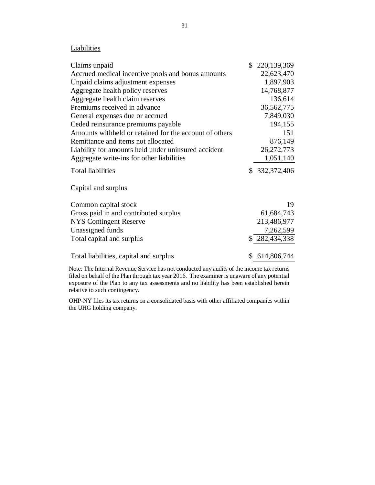## **Liabilities**

| Accrued medical incentive pools and bonus amounts<br>Unpaid claims adjustment expenses<br>Aggregate health policy reserves<br>Aggregate health claim reserves<br>Premiums received in advance<br>General expenses due or accrued<br>Ceded reinsurance premiums payable | 22,623,470<br>1,897,903<br>14,768,877<br>136,614<br>36, 562, 775 |
|------------------------------------------------------------------------------------------------------------------------------------------------------------------------------------------------------------------------------------------------------------------------|------------------------------------------------------------------|
|                                                                                                                                                                                                                                                                        |                                                                  |
|                                                                                                                                                                                                                                                                        |                                                                  |
|                                                                                                                                                                                                                                                                        |                                                                  |
|                                                                                                                                                                                                                                                                        |                                                                  |
|                                                                                                                                                                                                                                                                        |                                                                  |
|                                                                                                                                                                                                                                                                        | 7,849,030                                                        |
|                                                                                                                                                                                                                                                                        | 194,155                                                          |
| Amounts withheld or retained for the account of others                                                                                                                                                                                                                 | 151                                                              |
| Remittance and items not allocated                                                                                                                                                                                                                                     | 876,149                                                          |
| Liability for amounts held under uninsured accident                                                                                                                                                                                                                    | 26, 272, 773                                                     |
| Aggregate write-ins for other liabilities                                                                                                                                                                                                                              | 1,051,140                                                        |
| <b>Total liabilities</b>                                                                                                                                                                                                                                               | \$332,372,406                                                    |
| Capital and surplus                                                                                                                                                                                                                                                    |                                                                  |
| Common capital stock                                                                                                                                                                                                                                                   | 19                                                               |
| Gross paid in and contributed surplus                                                                                                                                                                                                                                  | 61,684,743                                                       |
| <b>NYS</b> Contingent Reserve                                                                                                                                                                                                                                          | 213,486,977                                                      |
| Unassigned funds                                                                                                                                                                                                                                                       | 7,262,599                                                        |
| Total capital and surplus                                                                                                                                                                                                                                              | \$282,434,338                                                    |
| Total liabilities, capital and surplus<br>\$                                                                                                                                                                                                                           | 614,806,744                                                      |

 Note: The Internal Revenue Service has not conducted any audits of the income tax returns filed on behalf of the Plan through tax year 2016. The examiner is unaware of any potential exposure of the Plan to any tax assessments and no liability has been established herein relative to such contingency.

 OHP-NY files its tax returns on a consolidated basis with other affiliated companies within the UHG holding company.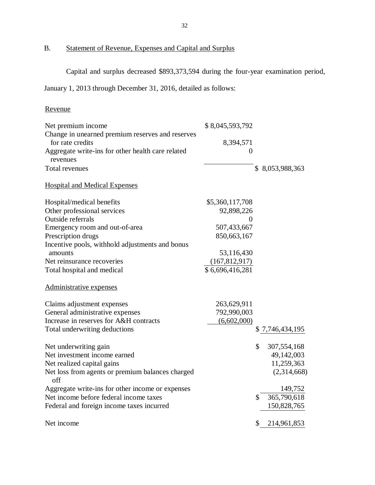B. Statement of Revenue, Expenses and Capital and Surplus

Capital and surplus decreased \$893,373,594 during the four-year examination period,

January 1, 2013 through December 31, 2016, detailed as follows:

## Revenue

| Net premium income                                      | \$8,045,593,792 |                   |
|---------------------------------------------------------|-----------------|-------------------|
| Change in unearned premium reserves and reserves        |                 |                   |
| for rate credits                                        | 8,394,571       |                   |
| Aggregate write-ins for other health care related       | $\theta$        |                   |
| revenues                                                |                 |                   |
| Total revenues                                          |                 | \$8,053,988,363   |
| <b>Hospital and Medical Expenses</b>                    |                 |                   |
| Hospital/medical benefits                               | \$5,360,117,708 |                   |
| Other professional services                             | 92,898,226      |                   |
| Outside referrals                                       | 0               |                   |
| Emergency room and out-of-area                          | 507,433,667     |                   |
| Prescription drugs                                      | 850,663,167     |                   |
| Incentive pools, withhold adjustments and bonus         |                 |                   |
| amounts                                                 | 53,116,430      |                   |
| Net reinsurance recoveries                              | (167, 812, 917) |                   |
| Total hospital and medical                              | \$6,696,416,281 |                   |
| Administrative expenses                                 |                 |                   |
| Claims adjustment expenses                              | 263,629,911     |                   |
| General administrative expenses                         | 792,990,003     |                   |
| Increase in reserves for A&H contracts                  | (6,602,000)     |                   |
| Total underwriting deductions                           |                 | \$7,746,434,195   |
| Net underwriting gain                                   |                 | \$<br>307,554,168 |
| Net investment income earned                            |                 | 49,142,003        |
| Net realized capital gains                              |                 | 11,259,363        |
| Net loss from agents or premium balances charged<br>off |                 | (2,314,668)       |
| Aggregate write-ins for other income or expenses        |                 | 149,752           |
| Net income before federal income taxes                  |                 | \$<br>365,790,618 |
| Federal and foreign income taxes incurred               |                 | 150,828,765       |
| Net income                                              |                 | \$<br>214,961,853 |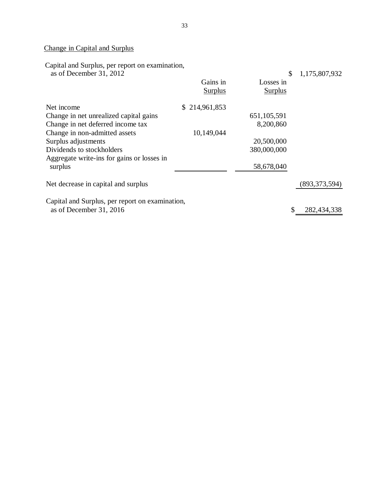## Change in Capital and Surplus

Capital and Surplus, per report on examination,

| as of December 31, 2012                         |                | \$             | 1,175,807,932     |
|-------------------------------------------------|----------------|----------------|-------------------|
|                                                 | Gains in       | Losses in      |                   |
|                                                 | <b>Surplus</b> | <b>Surplus</b> |                   |
| Net income                                      | \$214,961,853  |                |                   |
| Change in net unrealized capital gains          |                | 651, 105, 591  |                   |
| Change in net deferred income tax               |                | 8,200,860      |                   |
| Change in non-admitted assets                   | 10,149,044     |                |                   |
| Surplus adjustments                             |                | 20,500,000     |                   |
| Dividends to stockholders                       |                | 380,000,000    |                   |
| Aggregate write-ins for gains or losses in      |                |                |                   |
| surplus                                         |                | 58,678,040     |                   |
| Net decrease in capital and surplus             |                |                | (893, 373, 594)   |
| Capital and Surplus, per report on examination, |                |                |                   |
| as of December 31, 2016                         |                |                | \$<br>282,434,338 |
|                                                 |                |                |                   |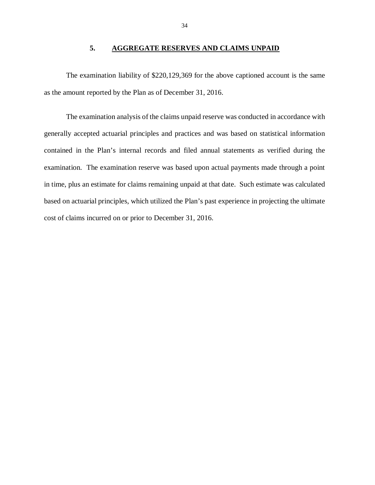## **5. AGGREGATE RESERVES AND CLAIMS UNPAID**

<span id="page-35-0"></span> The examination liability of \$220,129,369 for the above captioned account is the same as the amount reported by the Plan as of December 31, 2016.

 The examination analysis of the claims unpaid reserve was conducted in accordance with generally accepted actuarial principles and practices and was based on statistical information contained in the Plan's internal records and filed annual statements as verified during the examination. The examination reserve was based upon actual payments made through a point in time, plus an estimate for claims remaining unpaid at that date. Such estimate was calculated based on actuarial principles, which utilized the Plan's past experience in projecting the ultimate cost of claims incurred on or prior to December 31, 2016.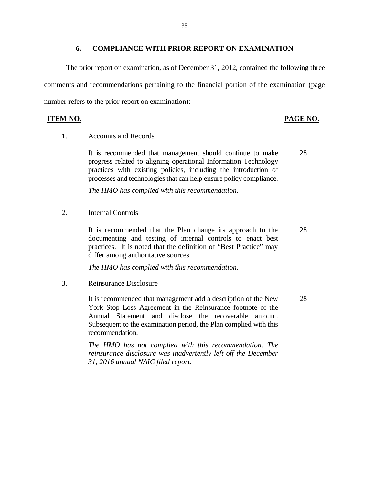#### **6. COMPLIANCE WITH PRIOR REPORT ON EXAMINATION**

<span id="page-36-0"></span> The prior report on examination, as of December 31, 2012, contained the following three comments and recommendations pertaining to the financial portion of the examination (page number refers to the prior report on examination):

## **ITEM NO.**

## PAGE NO.

## 1. Accounts and Records

 It is recommended that management should continue to make 28 progress related to aligning operational Information Technology practices with existing policies, including the introduction of processes and technologies that can help ensure policy compliance.

 *The HMO has complied with this recommendation.* 

## 2. **Internal Controls**

 It is recommended that the Plan change its approach to the 28 documenting and testing of internal controls to enact best practices. It is noted that the definition of "Best Practice" may differ among authoritative sources.

 *The HMO has complied with this recommendation.* 

## 3. Reinsurance Disclosure

 It is recommended that management add a description of the New 28 York Stop Loss Agreement in the Reinsurance footnote of the Annual Statement and disclose the recoverable amount. Subsequent to the examination period, the Plan complied with this recommendation.

 *The HMO has not complied with this recommendation. The reinsurance disclosure was inadvertently left off the December 31, 2016 annual NAIC filed report.*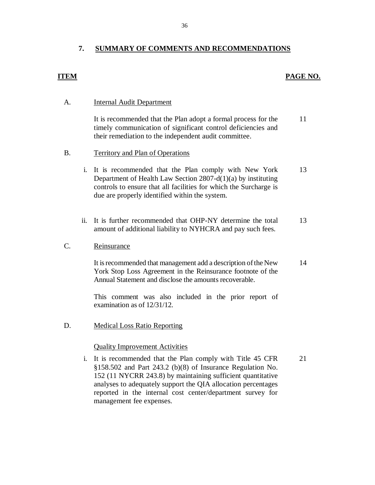#### **7. SUMMARY OF COMMENTS AND RECOMMENDATIONS**

## **ITEM**

## **PAGE NO.**

#### **Internal Audit Department** A.

 timely communication of significant control deficiencies and their remediation to the independent audit committee. It is recommended that the Plan adopt a formal process for the 11

#### Territory and Plan of Operations B.

- i. It is recommended that the Plan comply with New York Department of Health Law Section 2807-d(1)(a) by instituting controls to ensure that all facilities for which the Surcharge is due are properly identified within the system. 13
- ii. It is further recommended that OHP-NY determine the total amount of additional liability to NYHCRA and pay such fees. 13

#### C. Reinsurance

 It is recommended that management add a description of the New York Stop Loss Agreement in the Reinsurance footnote of the Annual Statement and disclose the amounts recoverable. 14

 This comment was also included in the prior report of examination as of 12/31/12.

 Medical Loss Ratio Reporting D.

## Quality Improvement Activities

 i. It is recommended that the Plan comply with Title 45 CFR §158.502 and Part 243.2 (b)(8) of Insurance Regulation No. 152 (11 NYCRR 243.8) by maintaining sufficient quantitative analyses to adequately support the QIA allocation percentages reported in the internal cost center/department survey for management fee expenses. 21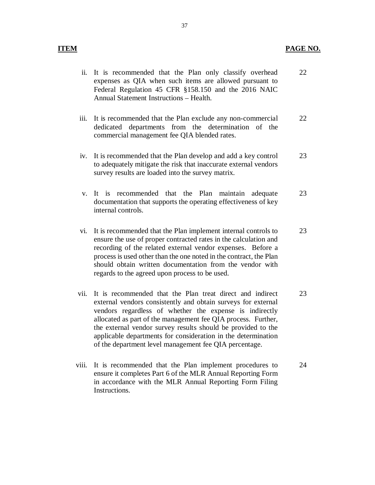- ii. It is recommended that the Plan only classify overhead expenses as QIA when such items are allowed pursuant to Federal Regulation 45 CFR §158.150 and the 2016 NAIC Annual Statement Instructions – Health. 22
- iii. It is recommended that the Plan exclude any non-commercial dedicated departments from the determination of the commercial management fee QIA blended rates. 22
- iv. It is recommended that the Plan develop and add a key control to adequately mitigate the risk that inaccurate external vendors survey results are loaded into the survey matrix. 23
- v. It is recommended that the Plan maintain adequate documentation that supports the operating effectiveness of key internal controls. 23
- vi. It is recommended that the Plan implement internal controls to ensure the use of proper contracted rates in the calculation and recording of the related external vendor expenses. Before a process is used other than the one noted in the contract, the Plan should obtain written documentation from the vendor with regards to the agreed upon process to be used. 23
- vii. It is recommended that the Plan treat direct and indirect external vendors consistently and obtain surveys for external vendors regardless of whether the expense is indirectly allocated as part of the management fee QIA process. Further, the external vendor survey results should be provided to the applicable departments for consideration in the determination of the department level management fee QIA percentage. 23
- viii. It is recommended that the Plan implement procedures to ensure it completes Part 6 of the MLR Annual Reporting Form in accordance with the MLR Annual Reporting Form Filing Instructions. 24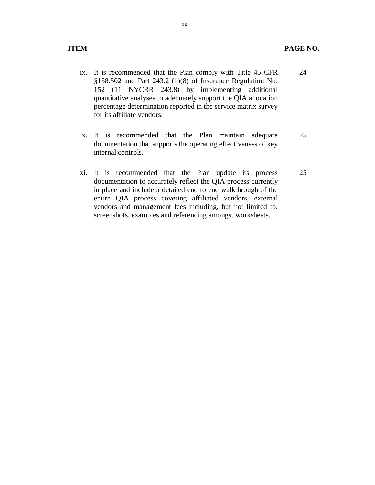- ix. It is recommended that the Plan comply with Title 45 CFR §158.502 and Part 243.2 (b)(8) of Insurance Regulation No. 152 (11 NYCRR 243.8) by implementing additional quantitative analyses to adequately support the QIA allocation percentage determination reported in the service matrix survey for its affiliate vendors. 24
- x. It is recommended that the Plan maintain adequate documentation that supports the operating effectiveness of key internal controls. 25
- xi. It is recommended that the Plan update its process documentation to accurately reflect the QIA process currently in place and include a detailed end to end walkthrough of the entire QIA process covering affiliated vendors, external vendors and management fees including, but not limited to, screenshots, examples and referencing amongst worksheets. 25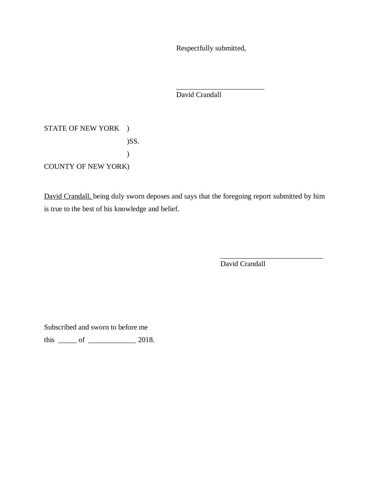Respectfully submitted,

\_\_\_\_\_\_\_\_\_\_\_\_\_\_\_\_\_\_\_\_\_\_\_\_

David Crandall

STATE OF NEW YORK ) COUNTY OF NEW YORK) )SS. )

David Crandall, being duly sworn deposes and says that the foregoing report submitted by him is true to the best of his knowledge and belief.

David Crandall

\_\_\_\_\_\_\_\_\_\_\_\_\_\_\_\_\_\_\_\_\_\_\_\_\_\_\_\_

Subscribed and sworn to before me

this  $\frac{\ }{\ }$  of  $\frac{\ }{\ }$  2018.